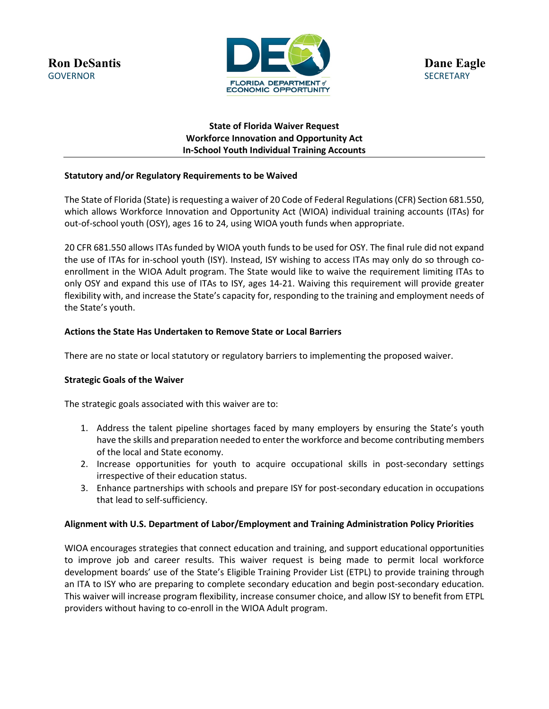

# **State of Florida Waiver Request Workforce Innovation and Opportunity Act In-School Youth Individual Training Accounts**

## **Statutory and/or Regulatory Requirements to be Waived**

The State of Florida (State) is requesting a waiver of 20 Code of Federal Regulations (CFR) Section 681.550, which allows Workforce Innovation and Opportunity Act (WIOA) individual training accounts (ITAs) for out-of-school youth (OSY), ages 16 to 24, using WIOA youth funds when appropriate.

20 CFR 681.550 allows ITAsfunded by WIOA youth funds to be used for OSY. The final rule did not expand the use of ITAs for in-school youth (ISY). Instead, ISY wishing to access ITAs may only do so through coenrollment in the WIOA Adult program. The State would like to waive the requirement limiting ITAs to only OSY and expand this use of ITAs to ISY, ages 14-21. Waiving this requirement will provide greater flexibility with, and increase the State's capacity for, responding to the training and employment needs of the State's youth.

## **Actions the State Has Undertaken to Remove State or Local Barriers**

There are no state or local statutory or regulatory barriers to implementing the proposed waiver.

### **Strategic Goals of the Waiver**

The strategic goals associated with this waiver are to:

- 1. Address the talent pipeline shortages faced by many employers by ensuring the State's youth have the skills and preparation needed to enter the workforce and become contributing members of the local and State economy.
- 2. Increase opportunities for youth to acquire occupational skills in post-secondary settings irrespective of their education status.
- 3. Enhance partnerships with schools and prepare ISY for post-secondary education in occupations that lead to self-sufficiency.

### **Alignment with U.S. Department of Labor/Employment and Training Administration Policy Priorities**

WIOA encourages strategies that connect education and training, and support educational opportunities to improve job and career results. This waiver request is being made to permit local workforce development boards' use of the State's Eligible Training Provider List (ETPL) to provide training through an ITA to ISY who are preparing to complete secondary education and begin post-secondary education. This waiver will increase program flexibility, increase consumer choice, and allow ISY to benefit from ETPL providers without having to co-enroll in the WIOA Adult program.